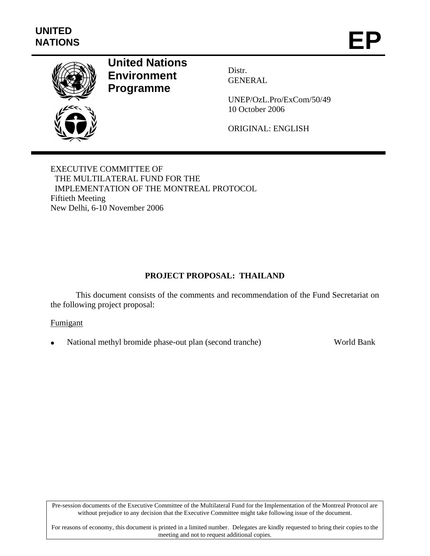

# **United Nations Environment Programme**

Distr. GENERAL

UNEP/OzL.Pro/ExCom/50/49 10 October 2006

ORIGINAL: ENGLISH

EXECUTIVE COMMITTEE OF THE MULTILATERAL FUND FOR THE IMPLEMENTATION OF THE MONTREAL PROTOCOL Fiftieth Meeting New Delhi, 6-10 November 2006

# **PROJECT PROPOSAL: THAILAND**

This document consists of the comments and recommendation of the Fund Secretariat on the following project proposal:

### Fumigant

• National methyl bromide phase-out plan (second tranche) World Bank

Pre-session documents of the Executive Committee of the Multilateral Fund for the Implementation of the Montreal Protocol are without prejudice to any decision that the Executive Committee might take following issue of the document.

For reasons of economy, this document is printed in a limited number. Delegates are kindly requested to bring their copies to the meeting and not to request additional copies.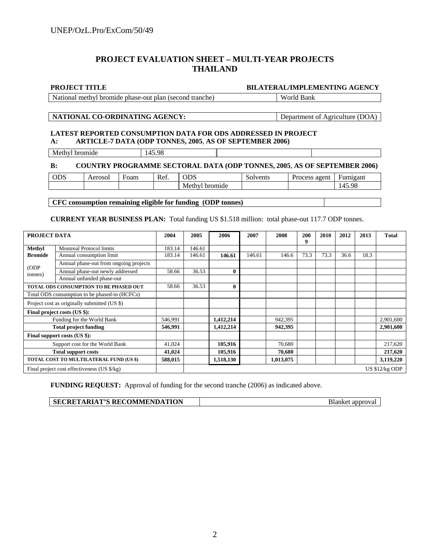# **PROJECT EVALUATION SHEET – MULTI-YEAR PROJECTS THAILAND**

#### **PROJECT TITLE BILATERAL/IMPLEMENTING AGENCY**

National methyl bromide phase-out plan (second tranche) World Bank

#### **NATIONAL CO-ORDINATING AGENCY:** Department of Agriculture (DOA)

#### **LATEST REPORTED CONSUMPTION DATA FOR ODS ADDRESSED IN PROJECT A: ARTICLE-7 DATA (ODP TONNES, 2005**, **AS OF SEPTEMBER 2006)**

Methyl bromide 145.98

#### **B: COUNTRY PROGRAMME SECTORAL DATA (ODP TONNES, 2005**, **AS OF SEPTEMBER 2006)**

| ODS | Aeroso. | Foam | Ref. | <b>ODS</b>        | $\sim$<br>Solvents | agent<br>Process | Fumigant        |  |
|-----|---------|------|------|-------------------|--------------------|------------------|-----------------|--|
|     |         |      |      | Methy'<br>bromide |                    |                  | .4509<br>149.90 |  |
|     |         |      |      |                   |                    |                  |                 |  |

**CFC consumption remaining eligible for funding (ODP tonnes)** 

**CURRENT YEAR BUSINESS PLAN:** Total funding US \$1.518 million: total phase-out 117.7 ODP tonnes.

| PROJECT DATA                                  |                                        | 2004    | 2005   | 2006         | 2007   | 2008      | 200<br>9 | 2010 | 2012 | 2013 | <b>Total</b>    |
|-----------------------------------------------|----------------------------------------|---------|--------|--------------|--------|-----------|----------|------|------|------|-----------------|
| Methyl                                        | <b>Montreal Protocol limits</b>        | 183.14  | 146.61 |              |        |           |          |      |      |      |                 |
| <b>Bromide</b>                                | Annual consumption limit               | 183.14  | 146.61 | 146.61       | 146.61 | 146.6     | 73.3     | 73.3 | 36.6 | 18.3 |                 |
| (ODP)<br>tonnes)                              | Annual phase-out from ongoing projects |         |        |              |        |           |          |      |      |      |                 |
|                                               | Annual phase-out newly addressed       | 58.66   | 36.53  | $\mathbf{0}$ |        |           |          |      |      |      |                 |
|                                               | Annual unfunded phase-out              |         |        |              |        |           |          |      |      |      |                 |
| TOTAL ODS CONSUMPTION TO BE PHASED OUT        |                                        | 58.66   | 36.53  | $\mathbf 0$  |        |           |          |      |      |      |                 |
| Total ODS consumption to be phased-in (HCFCs) |                                        |         |        |              |        |           |          |      |      |      |                 |
| Project cost as originally submitted (US \$)  |                                        |         |        |              |        |           |          |      |      |      |                 |
| Final project costs (US \$):                  |                                        |         |        |              |        |           |          |      |      |      |                 |
| Funding for the World Bank                    |                                        | 546,991 |        | 1,412,214    |        | 942,395   |          |      |      |      | 2,901,600       |
| <b>Total project funding</b>                  |                                        | 546,991 |        | 1,412,214    |        | 942,395   |          |      |      |      | 2,901,600       |
| Final support costs (US \$):                  |                                        |         |        |              |        |           |          |      |      |      |                 |
| Support cost for the World Bank               |                                        | 41,024  |        | 105,916      |        | 70.680    |          |      |      |      | 217,620         |
| <b>Total support costs</b>                    |                                        | 41,024  |        | 105,916      |        | 70.680    |          |      |      |      | 217,620         |
| TOTAL COST TO MULTILATERAL FUND (US \$)       |                                        | 588,015 |        | 1,518,130    |        | 1,013,075 |          |      |      |      | 3,119,220       |
| Final project cost effectiveness (US \$/kg)   |                                        |         |        |              |        |           |          |      |      |      | US $$12/kg$ ODP |

**FUNDING REQUEST:** Approval of funding for the second tranche (2006) as indicated above.

| SECRETARIAT'S RECOMMENDATION | Blanket approval |
|------------------------------|------------------|
|------------------------------|------------------|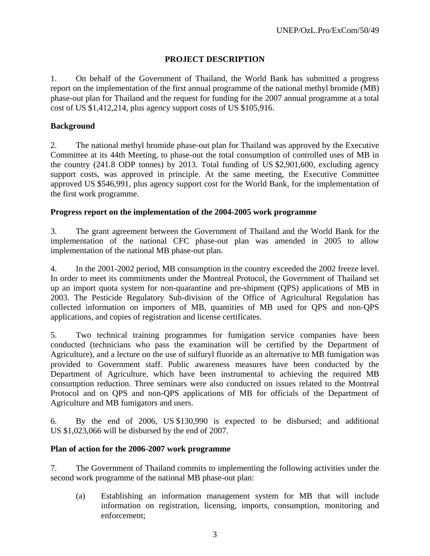# **PROJECT DESCRIPTION**

1. On behalf of the Government of Thailand, the World Bank has submitted a progress report on the implementation of the first annual programme of the national methyl bromide (MB) phase-out plan for Thailand and the request for funding for the 2007 annual programme at a total cost of US \$1,412,214, plus agency support costs of US \$105,916.

## **Background**

2. The national methyl bromide phase-out plan for Thailand was approved by the Executive Committee at its 44th Meeting, to phase-out the total consumption of controlled uses of MB in the country (241.8 ODP tonnes) by 2013. Total funding of US \$2,901,600, excluding agency support costs, was approved in principle. At the same meeting, the Executive Committee approved US \$546,991, plus agency support cost for the World Bank, for the implementation of the first work programme.

### **Progress report on the implementation of the 2004-2005 work programme**

3. The grant agreement between the Government of Thailand and the World Bank for the implementation of the national CFC phase-out plan was amended in 2005 to allow implementation of the national MB phase-out plan.

4. In the 2001-2002 period, MB consumption in the country exceeded the 2002 freeze level. In order to meet its commitments under the Montreal Protocol, the Government of Thailand set up an import quota system for non-quarantine and pre-shipment (QPS) applications of MB in 2003. The Pesticide Regulatory Sub-division of the Office of Agricultural Regulation has collected information on importers of MB, quantities of MB used for QPS and non-QPS applications, and copies of registration and license certificates.

5. Two technical training programmes for fumigation service companies have been conducted (technicians who pass the examination will be certified by the Department of Agriculture), and a lecture on the use of sulfuryl fluoride as an alternative to MB fumigation was provided to Government staff. Public awareness measures have been conducted by the Department of Agriculture, which have been instrumental to achieving the required MB consumption reduction. Three seminars were also conducted on issues related to the Montreal Protocol and on QPS and non-QPS applications of MB for officials of the Department of Agriculture and MB fumigators and users.

6. By the end of 2006, US \$130,990 is expected to be disbursed; and additional US \$1,023,066 will be disbursed by the end of 2007.

### **Plan of action for the 2006-2007 work programme**

7. The Government of Thailand commits to implementing the following activities under the second work programme of the national MB phase-out plan:

(a) Establishing an information management system for MB that will include information on registration, licensing, imports, consumption, monitoring and enforcement;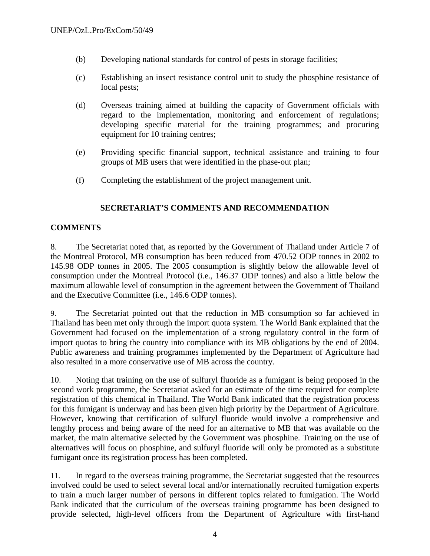- (b) Developing national standards for control of pests in storage facilities;
- (c) Establishing an insect resistance control unit to study the phosphine resistance of local pests;
- (d) Overseas training aimed at building the capacity of Government officials with regard to the implementation, monitoring and enforcement of regulations; developing specific material for the training programmes; and procuring equipment for 10 training centres;
- (e) Providing specific financial support, technical assistance and training to four groups of MB users that were identified in the phase-out plan;
- (f) Completing the establishment of the project management unit.

# **SECRETARIAT'S COMMENTS AND RECOMMENDATION**

# **COMMENTS**

8. The Secretariat noted that, as reported by the Government of Thailand under Article 7 of the Montreal Protocol, MB consumption has been reduced from 470.52 ODP tonnes in 2002 to 145.98 ODP tonnes in 2005. The 2005 consumption is slightly below the allowable level of consumption under the Montreal Protocol (i.e., 146.37 ODP tonnes) and also a little below the maximum allowable level of consumption in the agreement between the Government of Thailand and the Executive Committee (i.e., 146.6 ODP tonnes).

9. The Secretariat pointed out that the reduction in MB consumption so far achieved in Thailand has been met only through the import quota system. The World Bank explained that the Government had focused on the implementation of a strong regulatory control in the form of import quotas to bring the country into compliance with its MB obligations by the end of 2004. Public awareness and training programmes implemented by the Department of Agriculture had also resulted in a more conservative use of MB across the country.

10. Noting that training on the use of sulfuryl fluoride as a fumigant is being proposed in the second work programme, the Secretariat asked for an estimate of the time required for complete registration of this chemical in Thailand. The World Bank indicated that the registration process for this fumigant is underway and has been given high priority by the Department of Agriculture. However, knowing that certification of sulfuryl fluoride would involve a comprehensive and lengthy process and being aware of the need for an alternative to MB that was available on the market, the main alternative selected by the Government was phosphine. Training on the use of alternatives will focus on phosphine, and sulfuryl fluoride will only be promoted as a substitute fumigant once its registration process has been completed.

11. In regard to the overseas training programme, the Secretariat suggested that the resources involved could be used to select several local and/or internationally recruited fumigation experts to train a much larger number of persons in different topics related to fumigation. The World Bank indicated that the curriculum of the overseas training programme has been designed to provide selected, high-level officers from the Department of Agriculture with first-hand